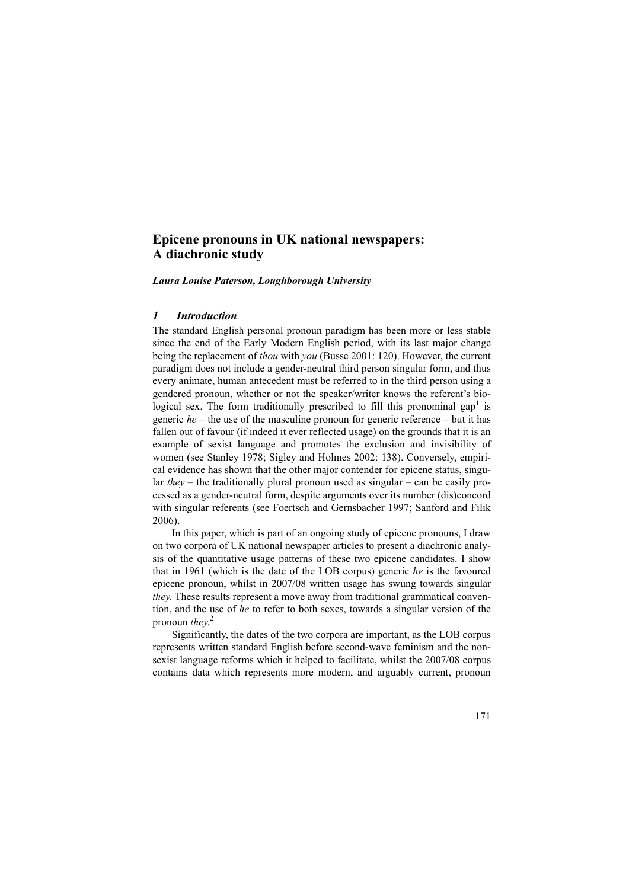# **Epicene pronouns in UK national newspapers: A diachronic study**

*Laura Louise Paterson, Loughborough University*

## *1 Introduction*

The standard English personal pronoun paradigm has been more or less stable since the end of the Early Modern English period, with its last major change being the replacement of *thou* with *you* (Busse 2001: 120). However, the current paradigm does not include a gender**-**neutral third person singular form, and thus every animate, human antecedent must be referred to in the third person using a gendered pronoun, whether or not the speaker/writer knows the referent's biological sex. The form traditionally prescribed to fill this pronominal gap<sup>1</sup> is generic  $he$  – the use of the masculine pronoun for generic reference – but it has fallen out of favour (if indeed it ever reflected usage) on the grounds that it is an example of sexist language and promotes the exclusion and invisibility of women (see Stanley 1978; Sigley and Holmes 2002: 138). Conversely, empirical evidence has shown that the other major contender for epicene status, singular *they* – the traditionally plural pronoun used as singular – can be easily processed as a gender-neutral form, despite arguments over its number (dis)concord with singular referents (see Foertsch and Gernsbacher 1997; Sanford and Filik 2006).

In this paper, which is part of an ongoing study of epicene pronouns, I draw on two corpora of UK national newspaper articles to present a diachronic analysis of the quantitative usage patterns of these two epicene candidates. I show that in 1961 (which is the date of the LOB corpus) generic *he* is the favoured epicene pronoun, whilst in 2007/08 written usage has swung towards singular *they*. These results represent a move away from traditional grammatical convention, and the use of *he* to refer to both sexes, towards a singular version of the pronoun *they*. 2

Significantly, the dates of the two corpora are important, as the LOB corpus represents written standard English before second-wave feminism and the nonsexist language reforms which it helped to facilitate, whilst the 2007/08 corpus contains data which represents more modern, and arguably current, pronoun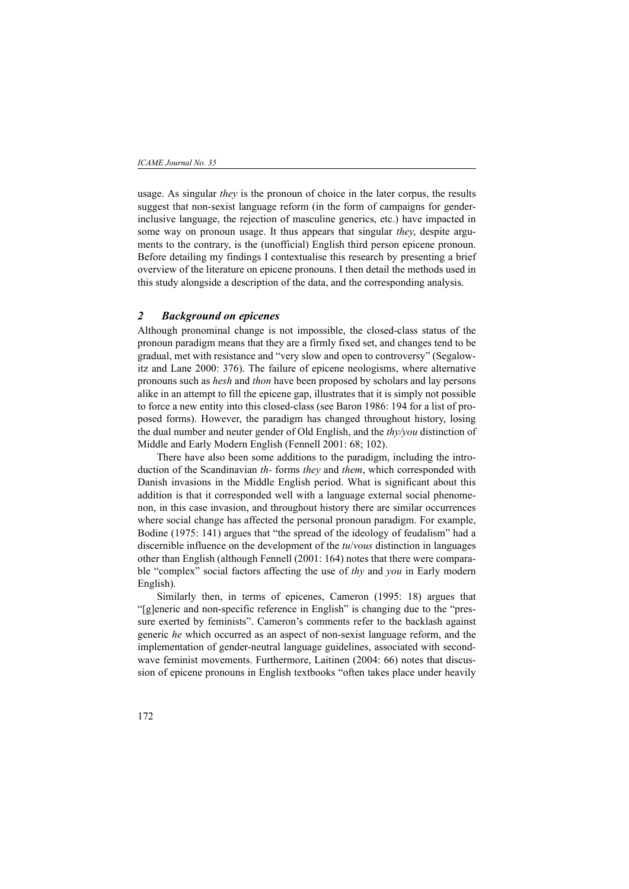usage. As singular *they* is the pronoun of choice in the later corpus, the results suggest that non-sexist language reform (in the form of campaigns for genderinclusive language, the rejection of masculine generics, etc.) have impacted in some way on pronoun usage. It thus appears that singular *they*, despite arguments to the contrary, is the (unofficial) English third person epicene pronoun. Before detailing my findings I contextualise this research by presenting a brief overview of the literature on epicene pronouns. I then detail the methods used in this study alongside a description of the data, and the corresponding analysis.

# *2 Background on epicenes*

Although pronominal change is not impossible, the closed-class status of the pronoun paradigm means that they are a firmly fixed set, and changes tend to be gradual, met with resistance and "very slow and open to controversy" (Segalowitz and Lane 2000: 376). The failure of epicene neologisms, where alternative pronouns such as *hesh* and *thon* have been proposed by scholars and lay persons alike in an attempt to fill the epicene gap, illustrates that it is simply not possible to force a new entity into this closed-class (see Baron 1986: 194 for a list of proposed forms). However, the paradigm has changed throughout history, losing the dual number and neuter gender of Old English, and the *thy/you* distinction of Middle and Early Modern English (Fennell 2001: 68; 102).

There have also been some additions to the paradigm, including the introduction of the Scandinavian *th-* forms *they* and *them*, which corresponded with Danish invasions in the Middle English period. What is significant about this addition is that it corresponded well with a language external social phenomenon, in this case invasion, and throughout history there are similar occurrences where social change has affected the personal pronoun paradigm. For example, Bodine (1975: 141) argues that "the spread of the ideology of feudalism" had a discernible influence on the development of the *tu*/*vous* distinction in languages other than English (although Fennell (2001: 164) notes that there were comparable "complex" social factors affecting the use of *thy* and *you* in Early modern English).

Similarly then, in terms of epicenes, Cameron (1995: 18) argues that "[g]eneric and non-specific reference in English" is changing due to the "pressure exerted by feminists". Cameron's comments refer to the backlash against generic *he* which occurred as an aspect of non-sexist language reform, and the implementation of gender-neutral language guidelines, associated with secondwave feminist movements. Furthermore, Laitinen (2004: 66) notes that discussion of epicene pronouns in English textbooks "often takes place under heavily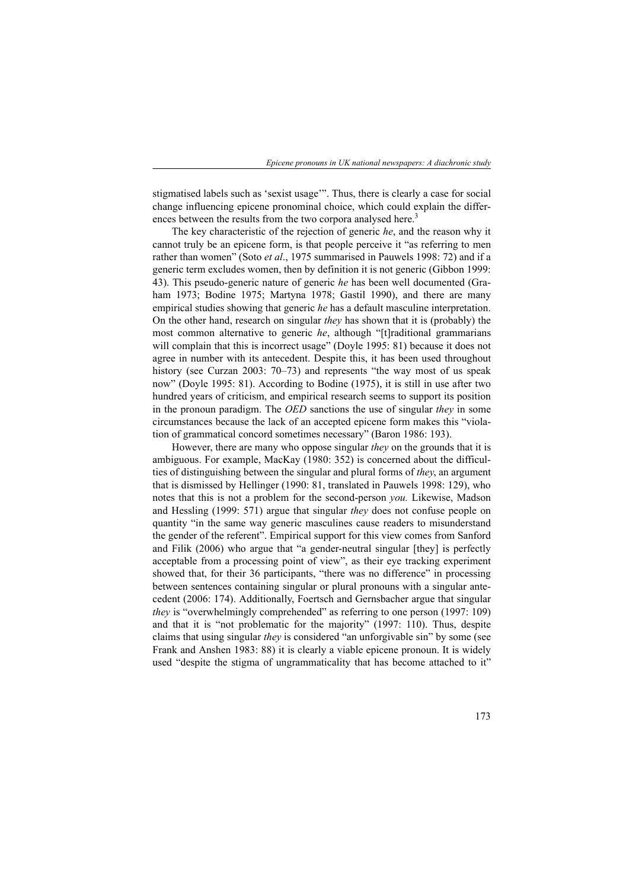stigmatised labels such as 'sexist usage'". Thus, there is clearly a case for social change influencing epicene pronominal choice, which could explain the differences between the results from the two corpora analysed here.<sup>3</sup>

The key characteristic of the rejection of generic *he*, and the reason why it cannot truly be an epicene form, is that people perceive it "as referring to men rather than women" (Soto *et al*., 1975 summarised in Pauwels 1998: 72) and if a generic term excludes women, then by definition it is not generic (Gibbon 1999: 43). This pseudo-generic nature of generic *he* has been well documented (Graham 1973; Bodine 1975; Martyna 1978; Gastil 1990), and there are many empirical studies showing that generic *he* has a default masculine interpretation. On the other hand, research on singular *they* has shown that it is (probably) the most common alternative to generic *he*, although "[t]raditional grammarians will complain that this is incorrect usage" (Doyle 1995: 81) because it does not agree in number with its antecedent. Despite this, it has been used throughout history (see Curzan 2003: 70–73) and represents "the way most of us speak now" (Doyle 1995: 81). According to Bodine (1975), it is still in use after two hundred years of criticism, and empirical research seems to support its position in the pronoun paradigm. The *OED* sanctions the use of singular *they* in some circumstances because the lack of an accepted epicene form makes this "violation of grammatical concord sometimes necessary" (Baron 1986: 193).

However, there are many who oppose singular *they* on the grounds that it is ambiguous. For example, MacKay (1980: 352) is concerned about the difficulties of distinguishing between the singular and plural forms of *they*, an argument that is dismissed by Hellinger (1990: 81, translated in Pauwels 1998: 129), who notes that this is not a problem for the second-person *you.* Likewise, Madson and Hessling (1999: 571) argue that singular *they* does not confuse people on quantity "in the same way generic masculines cause readers to misunderstand the gender of the referent". Empirical support for this view comes from Sanford and Filik (2006) who argue that "a gender-neutral singular [they] is perfectly acceptable from a processing point of view", as their eye tracking experiment showed that, for their 36 participants, "there was no difference" in processing between sentences containing singular or plural pronouns with a singular antecedent (2006: 174). Additionally, Foertsch and Gernsbacher argue that singular *they* is "overwhelmingly comprehended" as referring to one person (1997: 109) and that it is "not problematic for the majority" (1997: 110). Thus, despite claims that using singular *they* is considered "an unforgivable sin" by some (see Frank and Anshen 1983: 88) it is clearly a viable epicene pronoun. It is widely used "despite the stigma of ungrammaticality that has become attached to it"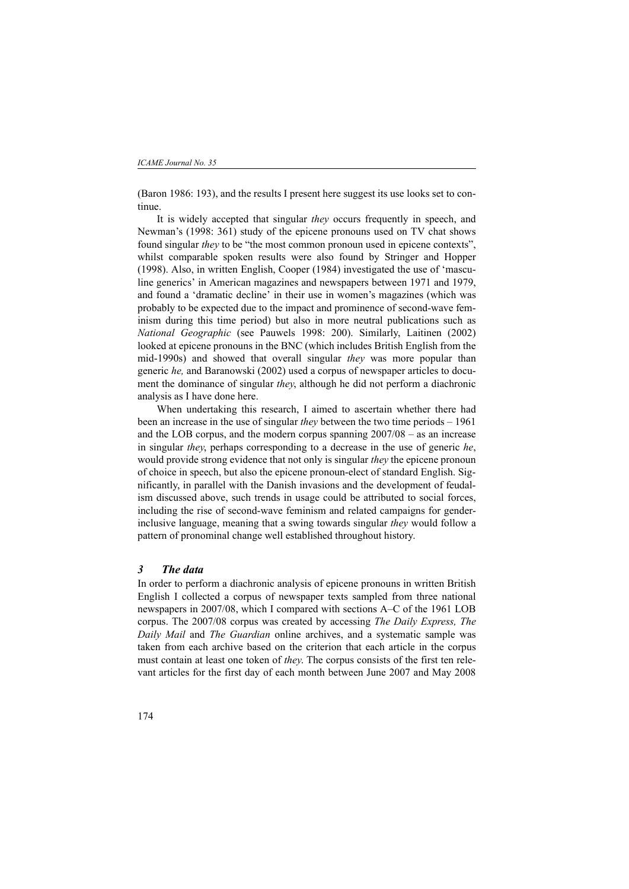(Baron 1986: 193), and the results I present here suggest its use looks set to continue.

It is widely accepted that singular *they* occurs frequently in speech, and Newman's (1998: 361) study of the epicene pronouns used on TV chat shows found singular *they* to be "the most common pronoun used in epicene contexts", whilst comparable spoken results were also found by Stringer and Hopper (1998). Also, in written English, Cooper (1984) investigated the use of 'masculine generics' in American magazines and newspapers between 1971 and 1979, and found a 'dramatic decline' in their use in women's magazines (which was probably to be expected due to the impact and prominence of second-wave feminism during this time period) but also in more neutral publications such as *National Geographic* (see Pauwels 1998: 200). Similarly, Laitinen (2002) looked at epicene pronouns in the BNC (which includes British English from the mid-1990s) and showed that overall singular *they* was more popular than generic *he,* and Baranowski (2002) used a corpus of newspaper articles to document the dominance of singular *they*, although he did not perform a diachronic analysis as I have done here.

When undertaking this research, I aimed to ascertain whether there had been an increase in the use of singular *they* between the two time periods – 1961 and the LOB corpus, and the modern corpus spanning 2007/08 – as an increase in singular *they*, perhaps corresponding to a decrease in the use of generic *he*, would provide strong evidence that not only is singular *they* the epicene pronoun of choice in speech, but also the epicene pronoun-elect of standard English. Significantly, in parallel with the Danish invasions and the development of feudalism discussed above, such trends in usage could be attributed to social forces, including the rise of second-wave feminism and related campaigns for genderinclusive language, meaning that a swing towards singular *they* would follow a pattern of pronominal change well established throughout history.

#### *3 The data*

In order to perform a diachronic analysis of epicene pronouns in written British English I collected a corpus of newspaper texts sampled from three national newspapers in 2007/08, which I compared with sections A–C of the 1961 LOB corpus. The 2007/08 corpus was created by accessing *The Daily Express, The Daily Mail* and *The Guardian* online archives, and a systematic sample was taken from each archive based on the criterion that each article in the corpus must contain at least one token of *they*. The corpus consists of the first ten relevant articles for the first day of each month between June 2007 and May 2008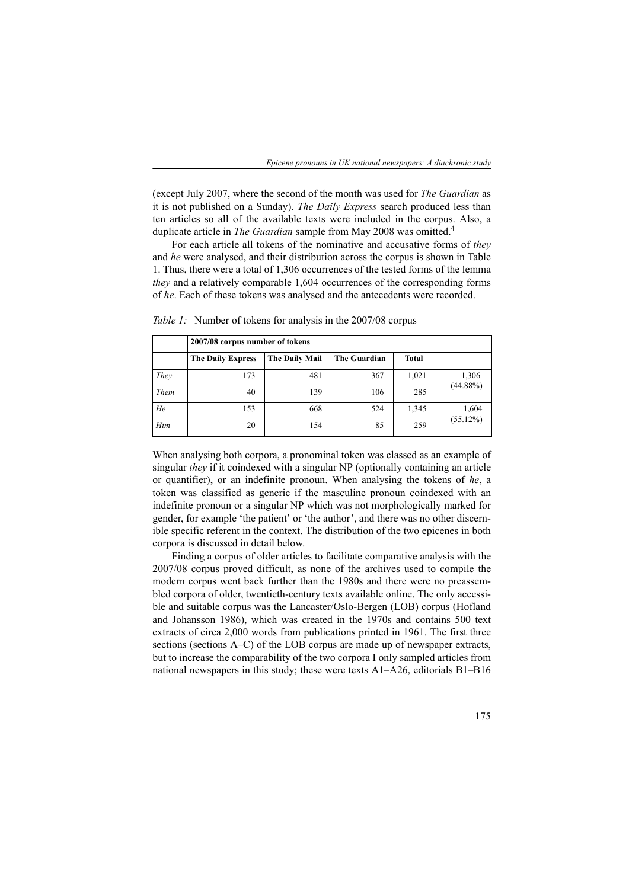(except July 2007, where the second of the month was used for *The Guardian* as it is not published on a Sunday). *The Daily Express* search produced less than ten articles so all of the available texts were included in the corpus. Also, a duplicate article in *The Guardian* sample from May 2008 was omitted.4

For each article all tokens of the nominative and accusative forms of *they* and *he* were analysed, and their distribution across the corpus is shown in Table 1. Thus, there were a total of 1,306 occurrences of the tested forms of the lemma *they* and a relatively comparable 1,604 occurrences of the corresponding forms of *he*. Each of these tokens was analysed and the antecedents were recorded.

|      | 2007/08 corpus number of tokens |                |                     |              |             |
|------|---------------------------------|----------------|---------------------|--------------|-------------|
|      | <b>The Daily Express</b>        | The Daily Mail | <b>The Guardian</b> | <b>Total</b> |             |
| They | 173                             | 481            | 367                 | 1,021        | 1,306       |
| Them | 40                              | 139            | 106                 | 285          | $(44.88\%)$ |
| He   | 153                             | 668            | 524                 | 1,345        | 1,604       |
| Him  | 20                              | 154            | 85                  | 259          | $(55.12\%)$ |

*Table 1:* Number of tokens for analysis in the 2007/08 corpus

When analysing both corpora, a pronominal token was classed as an example of singular *they* if it coindexed with a singular NP (optionally containing an article or quantifier), or an indefinite pronoun. When analysing the tokens of *he*, a token was classified as generic if the masculine pronoun coindexed with an indefinite pronoun or a singular NP which was not morphologically marked for gender, for example 'the patient' or 'the author', and there was no other discernible specific referent in the context. The distribution of the two epicenes in both corpora is discussed in detail below.

Finding a corpus of older articles to facilitate comparative analysis with the 2007/08 corpus proved difficult, as none of the archives used to compile the modern corpus went back further than the 1980s and there were no preassembled corpora of older, twentieth-century texts available online. The only accessible and suitable corpus was the Lancaster/Oslo-Bergen (LOB) corpus (Hofland and Johansson 1986), which was created in the 1970s and contains 500 text extracts of circa 2,000 words from publications printed in 1961. The first three sections (sections A–C) of the LOB corpus are made up of newspaper extracts, but to increase the comparability of the two corpora I only sampled articles from national newspapers in this study; these were texts A1–A26, editorials B1–B16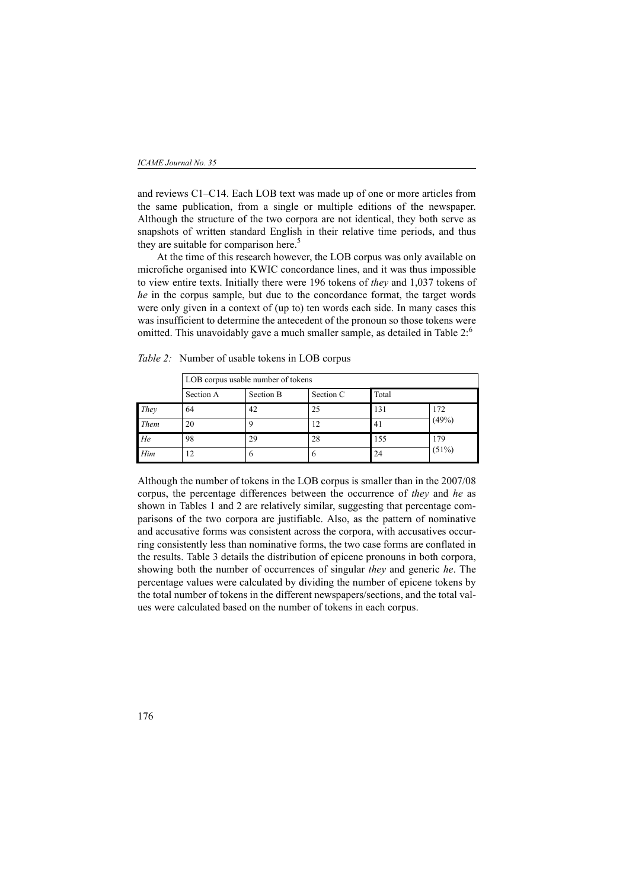and reviews C1–C14. Each LOB text was made up of one or more articles from the same publication, from a single or multiple editions of the newspaper. Although the structure of the two corpora are not identical, they both serve as snapshots of written standard English in their relative time periods, and thus they are suitable for comparison here.<sup>5</sup>

At the time of this research however, the LOB corpus was only available on microfiche organised into KWIC concordance lines, and it was thus impossible to view entire texts. Initially there were 196 tokens of *they* and 1,037 tokens of *he* in the corpus sample, but due to the concordance format, the target words were only given in a context of (up to) ten words each side. In many cases this was insufficient to determine the antecedent of the pronoun so those tokens were omitted. This unavoidably gave a much smaller sample, as detailed in Table 2.<sup>6</sup>

|             | LOB corpus usable number of tokens |           |           |       |              |  |
|-------------|------------------------------------|-----------|-----------|-------|--------------|--|
|             | Section A                          | Section B | Section C | Total |              |  |
| They        | 64                                 | 42        | 25        | 131   | 172<br>(49%) |  |
| <b>Them</b> | 20                                 |           |           | 41    |              |  |
| He          | 98                                 | 29        | 28        | 155   | 179<br>(51%) |  |
| Him         | $\overline{2}$                     |           | $\theta$  | 24    |              |  |

*Table 2:* Number of usable tokens in LOB corpus

Although the number of tokens in the LOB corpus is smaller than in the 2007/08 corpus, the percentage differences between the occurrence of *they* and *he* as shown in Tables 1 and 2 are relatively similar, suggesting that percentage comparisons of the two corpora are justifiable. Also, as the pattern of nominative and accusative forms was consistent across the corpora, with accusatives occurring consistently less than nominative forms, the two case forms are conflated in the results. Table 3 details the distribution of epicene pronouns in both corpora, showing both the number of occurrences of singular *they* and generic *he*. The percentage values were calculated by dividing the number of epicene tokens by the total number of tokens in the different newspapers/sections, and the total values were calculated based on the number of tokens in each corpus.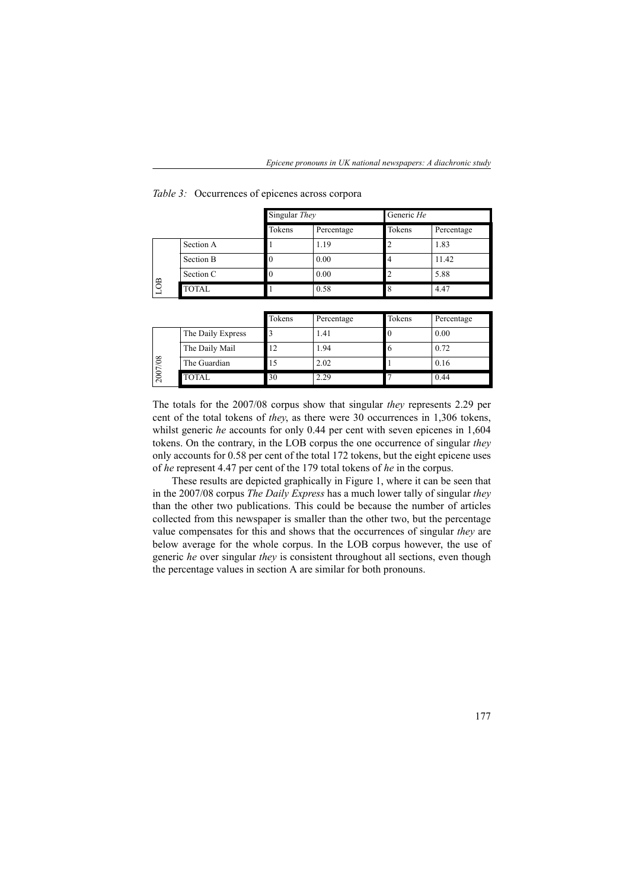|    |              | Singular They |            | Generic He |            |
|----|--------------|---------------|------------|------------|------------|
|    |              | Tokens        | Percentage | Tokens     | Percentage |
| ie | Section A    |               | 1.19       |            | 1.83       |
|    | Section B    |               | 0.00       |            | 11.42      |
|    | Section C    |               | 0.00       |            | 5.88       |
|    | <b>TOTAL</b> |               | 0.58       |            | 4.47       |

*Table 3:* Occurrences of epicenes across corpora

|         |                   | Tokens | Percentage | Tokens | Percentage |
|---------|-------------------|--------|------------|--------|------------|
| 2007/08 | The Daily Express |        | 1.41       |        | 0.00       |
|         | The Daily Mail    | 12     | 1.94       | 6      | 0.72       |
|         | The Guardian      | 15     | 2.02       |        | 0.16       |
|         | <b>TOTAL</b>      | 30     | 2.29       |        | 0.44       |

The totals for the 2007/08 corpus show that singular *they* represents 2.29 per cent of the total tokens of *they*, as there were 30 occurrences in 1,306 tokens, whilst generic *he* accounts for only 0.44 per cent with seven epicenes in 1,604 tokens. On the contrary, in the LOB corpus the one occurrence of singular *they* only accounts for 0.58 per cent of the total 172 tokens, but the eight epicene uses of *he* represent 4.47 per cent of the 179 total tokens of *he* in the corpus.

These results are depicted graphically in Figure 1, where it can be seen that in the 2007/08 corpus *The Daily Express* has a much lower tally of singular *they* than the other two publications. This could be because the number of articles collected from this newspaper is smaller than the other two, but the percentage value compensates for this and shows that the occurrences of singular *they* are below average for the whole corpus. In the LOB corpus however, the use of generic *he* over singular *they* is consistent throughout all sections, even though the percentage values in section A are similar for both pronouns.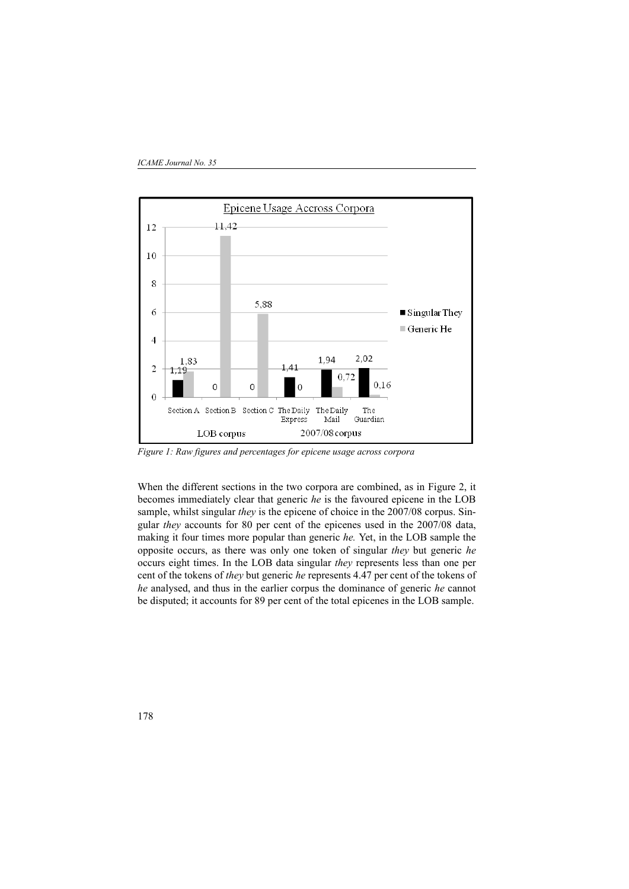

*Figure 1: Raw figures and percentages for epicene usage across corpora*

When the different sections in the two corpora are combined, as in Figure 2, it becomes immediately clear that generic *he* is the favoured epicene in the LOB sample, whilst singular *they* is the epicene of choice in the 2007/08 corpus. Singular *they* accounts for 80 per cent of the epicenes used in the 2007/08 data, making it four times more popular than generic *he.* Yet, in the LOB sample the opposite occurs, as there was only one token of singular *they* but generic *he* occurs eight times. In the LOB data singular *they* represents less than one per cent of the tokens of *they* but generic *he* represents 4.47 per cent of the tokens of *he* analysed, and thus in the earlier corpus the dominance of generic *he* cannot be disputed; it accounts for 89 per cent of the total epicenes in the LOB sample.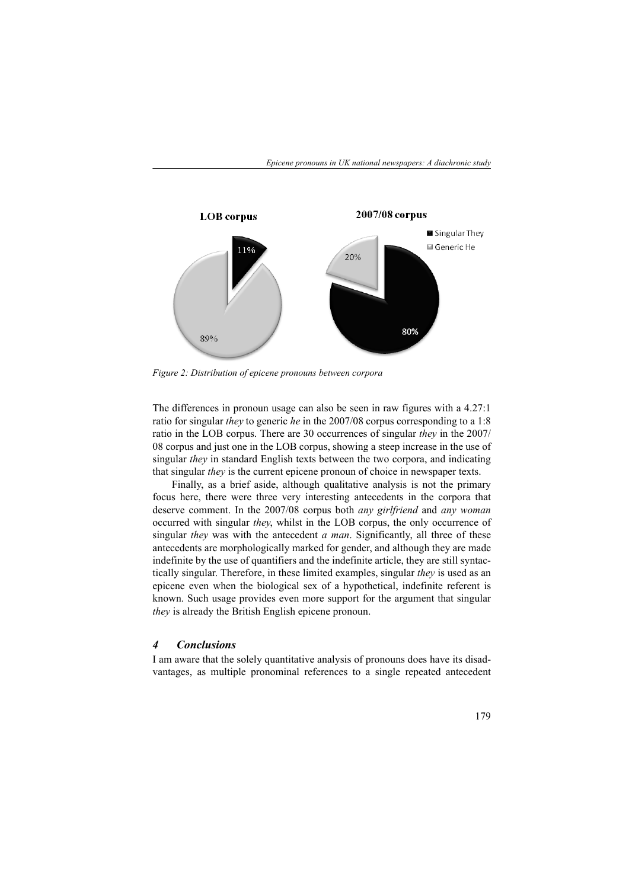

*Figure 2: Distribution of epicene pronouns between corpora*

The differences in pronoun usage can also be seen in raw figures with a 4.27:1 ratio for singular *they* to generic *he* in the 2007/08 corpus corresponding to a 1:8 ratio in the LOB corpus. There are 30 occurrences of singular *they* in the 2007/ 08 corpus and just one in the LOB corpus, showing a steep increase in the use of singular *they* in standard English texts between the two corpora, and indicating that singular *they* is the current epicene pronoun of choice in newspaper texts.

Finally, as a brief aside, although qualitative analysis is not the primary focus here, there were three very interesting antecedents in the corpora that deserve comment. In the 2007/08 corpus both *any girlfriend* and *any woman* occurred with singular *they*, whilst in the LOB corpus, the only occurrence of singular *they* was with the antecedent *a man*. Significantly, all three of these antecedents are morphologically marked for gender, and although they are made indefinite by the use of quantifiers and the indefinite article, they are still syntactically singular. Therefore, in these limited examples, singular *they* is used as an epicene even when the biological sex of a hypothetical, indefinite referent is known. Such usage provides even more support for the argument that singular *they* is already the British English epicene pronoun.

# *4 Conclusions*

I am aware that the solely quantitative analysis of pronouns does have its disadvantages, as multiple pronominal references to a single repeated antecedent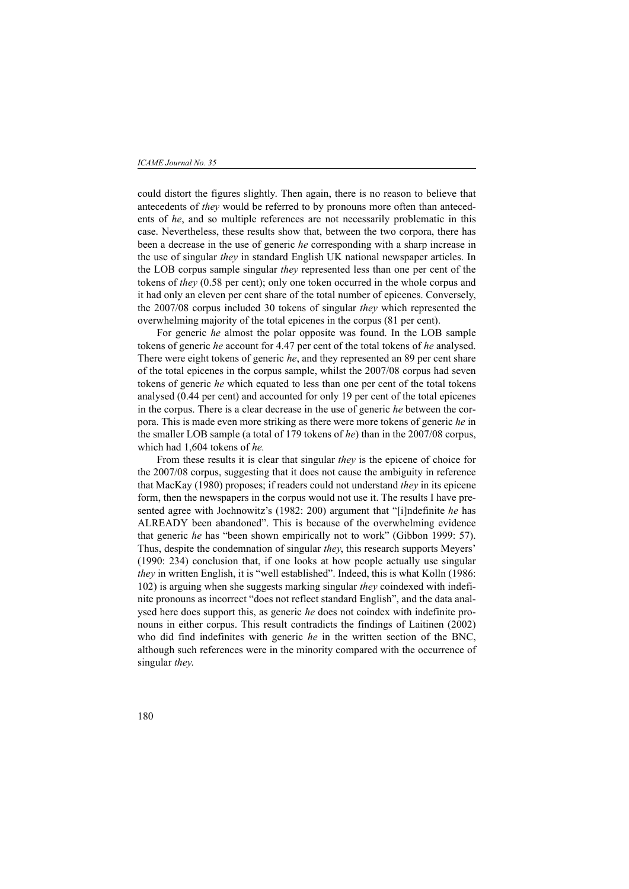could distort the figures slightly. Then again, there is no reason to believe that antecedents of *they* would be referred to by pronouns more often than antecedents of *he*, and so multiple references are not necessarily problematic in this case. Nevertheless, these results show that, between the two corpora, there has been a decrease in the use of generic *he* corresponding with a sharp increase in the use of singular *they* in standard English UK national newspaper articles. In the LOB corpus sample singular *they* represented less than one per cent of the tokens of *they* (0.58 per cent); only one token occurred in the whole corpus and it had only an eleven per cent share of the total number of epicenes. Conversely, the 2007/08 corpus included 30 tokens of singular *they* which represented the overwhelming majority of the total epicenes in the corpus (81 per cent).

For generic *he* almost the polar opposite was found. In the LOB sample tokens of generic *he* account for 4.47 per cent of the total tokens of *he* analysed. There were eight tokens of generic *he*, and they represented an 89 per cent share of the total epicenes in the corpus sample, whilst the 2007/08 corpus had seven tokens of generic *he* which equated to less than one per cent of the total tokens analysed (0.44 per cent) and accounted for only 19 per cent of the total epicenes in the corpus. There is a clear decrease in the use of generic *he* between the corpora. This is made even more striking as there were more tokens of generic *he* in the smaller LOB sample (a total of 179 tokens of *he*) than in the 2007/08 corpus, which had 1,604 tokens of *he.*

From these results it is clear that singular *they* is the epicene of choice for the 2007/08 corpus, suggesting that it does not cause the ambiguity in reference that MacKay (1980) proposes; if readers could not understand *they* in its epicene form, then the newspapers in the corpus would not use it. The results I have presented agree with Jochnowitz's (1982: 200) argument that "[i]ndefinite *he* has ALREADY been abandoned". This is because of the overwhelming evidence that generic *he* has "been shown empirically not to work" (Gibbon 1999: 57). Thus, despite the condemnation of singular *they*, this research supports Meyers' (1990: 234) conclusion that, if one looks at how people actually use singular *they* in written English, it is "well established". Indeed, this is what Kolln (1986: 102) is arguing when she suggests marking singular *they* coindexed with indefinite pronouns as incorrect "does not reflect standard English", and the data analysed here does support this, as generic *he* does not coindex with indefinite pronouns in either corpus. This result contradicts the findings of Laitinen (2002) who did find indefinites with generic *he* in the written section of the BNC, although such references were in the minority compared with the occurrence of singular *they*.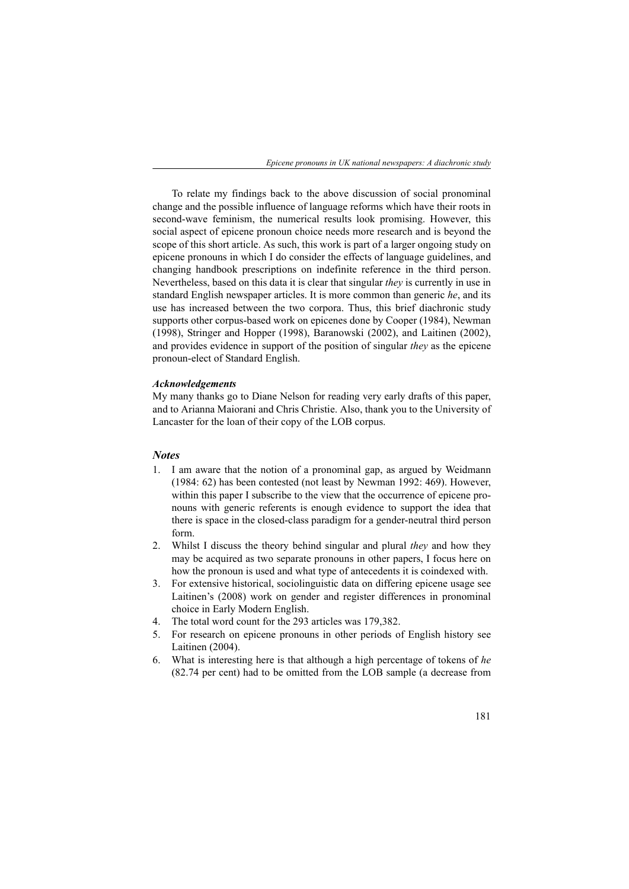To relate my findings back to the above discussion of social pronominal change and the possible influence of language reforms which have their roots in second-wave feminism, the numerical results look promising. However, this social aspect of epicene pronoun choice needs more research and is beyond the scope of this short article. As such, this work is part of a larger ongoing study on epicene pronouns in which I do consider the effects of language guidelines, and changing handbook prescriptions on indefinite reference in the third person. Nevertheless, based on this data it is clear that singular *they* is currently in use in standard English newspaper articles. It is more common than generic *he*, and its use has increased between the two corpora. Thus, this brief diachronic study supports other corpus-based work on epicenes done by Cooper (1984), Newman (1998), Stringer and Hopper (1998), Baranowski (2002), and Laitinen (2002), and provides evidence in support of the position of singular *they* as the epicene pronoun-elect of Standard English.

#### *Acknowledgements*

My many thanks go to Diane Nelson for reading very early drafts of this paper, and to Arianna Maiorani and Chris Christie. Also, thank you to the University of Lancaster for the loan of their copy of the LOB corpus.

### *Notes*

- 1. I am aware that the notion of a pronominal gap, as argued by Weidmann (1984: 62) has been contested (not least by Newman 1992: 469). However, within this paper I subscribe to the view that the occurrence of epicene pronouns with generic referents is enough evidence to support the idea that there is space in the closed-class paradigm for a gender-neutral third person form.
- 2. Whilst I discuss the theory behind singular and plural *they* and how they may be acquired as two separate pronouns in other papers, I focus here on how the pronoun is used and what type of antecedents it is coindexed with.
- 3. For extensive historical, sociolinguistic data on differing epicene usage see Laitinen's (2008) work on gender and register differences in pronominal choice in Early Modern English.
- 4. The total word count for the 293 articles was 179,382.
- 5. For research on epicene pronouns in other periods of English history see Laitinen (2004).
- 6. What is interesting here is that although a high percentage of tokens of *he* (82.74 per cent) had to be omitted from the LOB sample (a decrease from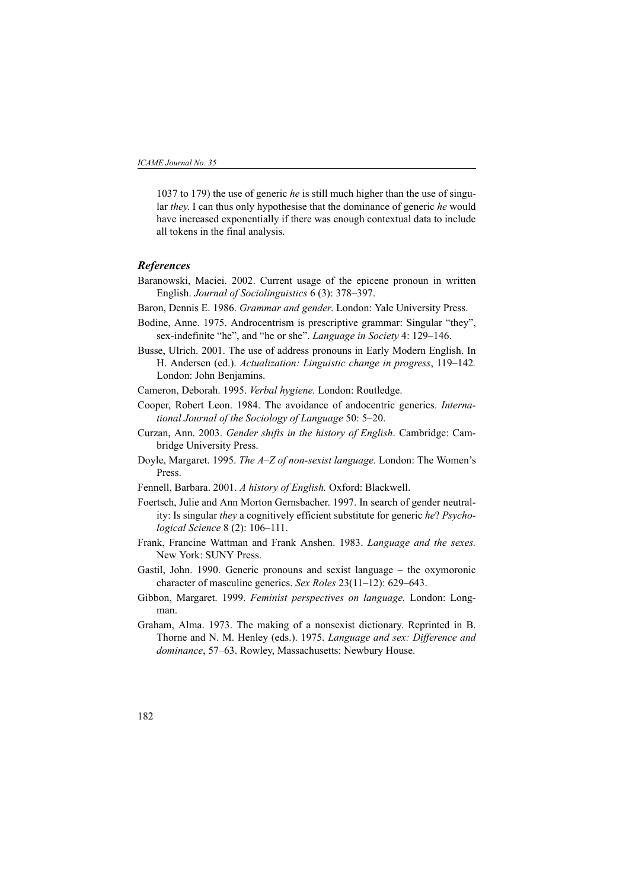1037 to 179) the use of generic *he* is still much higher than the use of singular *they*. I can thus only hypothesise that the dominance of generic *he* would have increased exponentially if there was enough contextual data to include all tokens in the final analysis.

## *References*

- Baranowski, Maciei. 2002. Current usage of the epicene pronoun in written English. *Journal of Sociolinguistics* 6 (3): 378–397.
- Baron, Dennis E. 1986. *Grammar and gender*. London: Yale University Press.
- Bodine, Anne. 1975. Androcentrism is prescriptive grammar: Singular "they", sex-indefinite "he", and "he or she". *Language in Society* 4: 129–146.
- Busse, Ulrich. 2001. The use of address pronouns in Early Modern English. In H. Andersen (ed.). *Actualization: Linguistic change in progress*, 119–142*.* London: John Benjamins.
- Cameron, Deborah. 1995. *Verbal hygiene.* London: Routledge.
- Cooper, Robert Leon. 1984. The avoidance of andocentric generics. *International Journal of the Sociology of Language* 50: 5–20.
- Curzan, Ann. 2003. *Gender shifts in the history of English*. Cambridge: Cambridge University Press.
- Doyle, Margaret. 1995. *The A–Z of non-sexist language.* London: The Women's Press.
- Fennell, Barbara. 2001. *A history of English.* Oxford: Blackwell.
- Foertsch, Julie and Ann Morton Gernsbacher. 1997. In search of gender neutrality: Is singular *they* a cognitively efficient substitute for generic *he*? *Psychological Science* 8 (2): 106–111.
- Frank, Francine Wattman and Frank Anshen. 1983. *Language and the sexes.* New York: SUNY Press.
- Gastil, John. 1990. Generic pronouns and sexist language the oxymoronic character of masculine generics. *Sex Roles* 23(11–12): 629–643.
- Gibbon, Margaret. 1999. *Feminist perspectives on language.* London: Longman.
- Graham, Alma. 1973. The making of a nonsexist dictionary. Reprinted in B. Thorne and N. M. Henley (eds.). 1975. *Language and sex: Difference and dominance*, 57–63. Rowley, Massachusetts: Newbury House.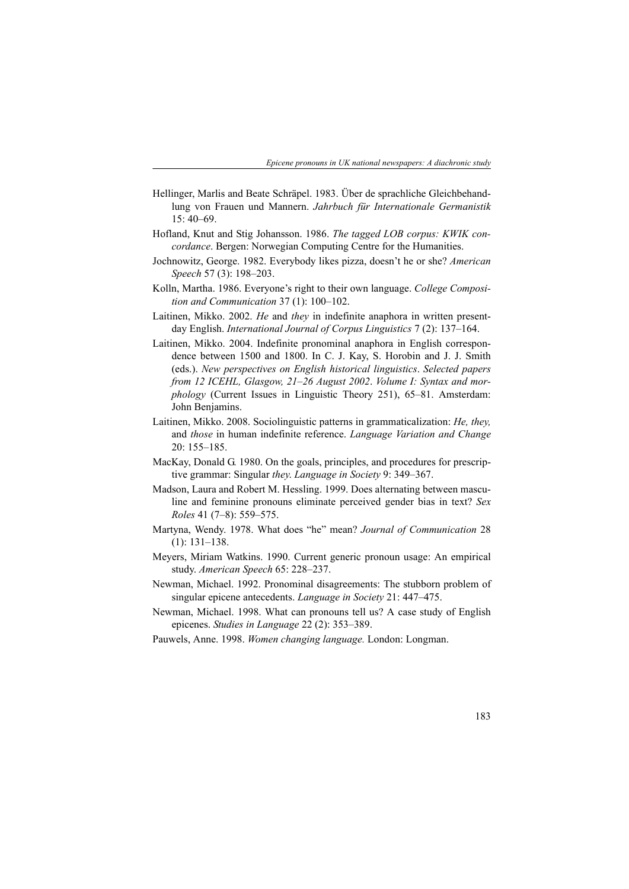- Hellinger, Marlis and Beate Schräpel. 1983. Über de sprachliche Gleichbehandlung von Frauen und Mannern. *Jahrbuch für Internationale Germanistik* 15: 40–69.
- Hofland, Knut and Stig Johansson. 1986. *The tagged LOB corpus: KWIK concordance*. Bergen: Norwegian Computing Centre for the Humanities.
- Jochnowitz, George. 1982. Everybody likes pizza, doesn't he or she? *American Speech* 57 (3): 198–203.
- Kolln, Martha. 1986. Everyone's right to their own language. *College Composition and Communication* 37 (1): 100–102.
- Laitinen, Mikko. 2002. *He* and *they* in indefinite anaphora in written presentday English. *International Journal of Corpus Linguistics* 7 (2): 137–164.
- Laitinen, Mikko. 2004. Indefinite pronominal anaphora in English correspondence between 1500 and 1800. In C. J. Kay, S. Horobin and J. J. Smith (eds.). *New perspectives on English historical linguistics*. *Selected papers from 12 ICEHL, Glasgow, 21–26 August 2002*. *Volume I: Syntax and morphology* (Current Issues in Linguistic Theory 251), 65–81. Amsterdam: John Benjamins.
- Laitinen, Mikko. 2008. Sociolinguistic patterns in grammaticalization: *He, they,* and *those* in human indefinite reference. *Language Variation and Change* 20: 155–185.
- MacKay, Donald G. 1980. On the goals, principles, and procedures for prescriptive grammar: Singular *they*. *Language in Society* 9: 349–367.
- Madson, Laura and Robert M. Hessling. 1999. Does alternating between masculine and feminine pronouns eliminate perceived gender bias in text? *Sex Roles* 41 (7–8): 559–575.
- Martyna, Wendy. 1978. What does "he" mean? *Journal of Communication* 28 (1): 131–138.
- Meyers, Miriam Watkins. 1990. Current generic pronoun usage: An empirical study. *American Speech* 65: 228–237.
- Newman, Michael. 1992. Pronominal disagreements: The stubborn problem of singular epicene antecedents. *Language in Society* 21: 447–475.
- Newman, Michael. 1998. What can pronouns tell us? A case study of English epicenes. *Studies in Language* 22 (2): 353–389.
- Pauwels, Anne. 1998. *Women changing language.* London: Longman.